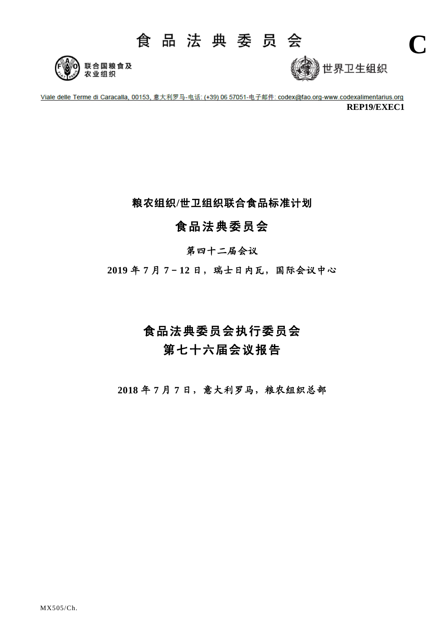# 食品法典委员会





**C**

Viale delle Terme di Caracalla, 00153, 意大利罗马-电话: (+39) 06 57051-电子邮件: codex@fao.org-www.codexalimentarius.org **REP19/EXEC1**

粮农组织**/**世卫组织联合食品标准计划

# 食品法典委员会

## 第四十二届会议

**2019** 年 **7** 月 **7**-**12** 日,瑞士日内瓦,国际会议中心

# 食品法典委员会执行委员会 第七十六届会议报告

**2018** 年 **7** 月 **7** 日,意大利罗马,粮农组织总部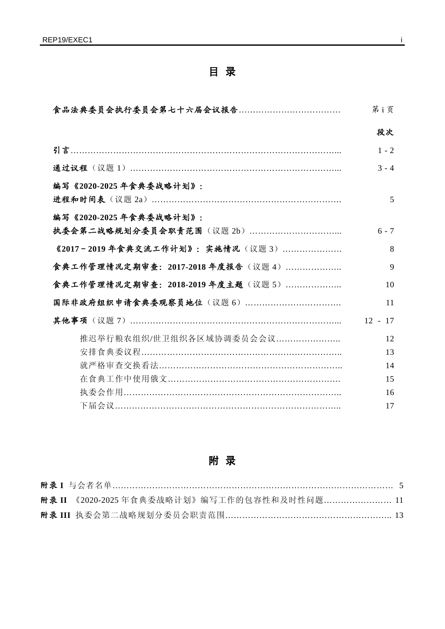# 目 录

|                                   | 第i页       |
|-----------------------------------|-----------|
|                                   | 段次        |
|                                   | $1 - 2$   |
|                                   | $3 - 4$   |
| 编写《2020-2025年食典委战略计划》:            |           |
|                                   | 5         |
| 编写《2020-2025年食典委战略计划》:            |           |
|                                   | $6 - 7$   |
| 《2017-2019年食典交流工作计划》:实施情况(议题3)    | 8         |
| 食典工作管理情况定期审查: 2017-2018年度报告 (议题4) | 9         |
| 食典工作管理情况定期审查:2018-2019 年度主题(议题 5) | 10        |
|                                   | 11        |
|                                   | $12 - 17$ |
| 推迟举行粮农组织/世卫组织各区域协调委员会会议           | 12        |
|                                   | 13        |
|                                   | 14        |
|                                   | 15        |
|                                   | 16        |
| 下届会议………………………………………………………………………   | 17        |

附 录

|  | 附录 II 《2020-2025 年食典委战略计划》编写工作的包容性和及时性问题 11 |  |
|--|---------------------------------------------|--|
|  |                                             |  |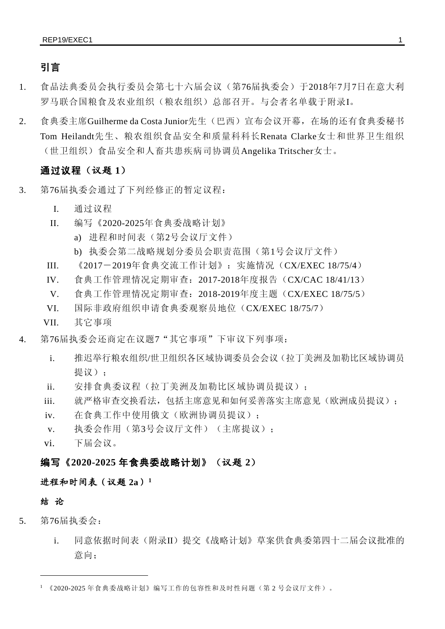## 引言

- 1. 食品法典委员会执行委员会第七十六届会议(第76届执委会)于2018年7月7日在意大利 罗马联合国粮食及农业组织(粮农组织)总部召开。与会者名单载于附录I。
- 2. 食典委主席Guilherme da Costa Junior先生(巴西)宣布会议开幕, 在场的还有食典委秘书 Tom Heilandt先生、粮农组织食品安全和质量科科长Renata Clarke女士和世界卫生组织 (世卫组织)食品安全和人畜共患疾病司协调员Angelika Tritscher女士。

### 通过议程(议题 **1**)

- 3. 第76届执委会通过了下列经修正的暂定议程:
	- I. 通过议程
	- II. 编写《2020-2025年食典委战略计划》
		- a) 进程和时间表(第2号会议厅文件)
		- b) 执委会第二战略规划分委员会职责范围(第1号会议厅文件)
	- III. 《2017-2019年食典交流工作计划》:实施情况(CX/EXEC 18/75/4)
	- IV. 食典工作管理情况定期审查:2017-2018年度报告(CX/CAC 18/41/13)
	- V. 食典工作管理情况定期审查:2018-2019年度主题(CX/EXEC 18/75/5)
	- VI. 国际非政府组织申请食典委观察员地位(CX/EXEC 18/75/7)
	- VII. 其它事项
- 4. 第76届执委会还商定在议题7"其它事项"下审议下列事项:
	- i. 推迟举行粮农组织/世卫组织各区域协调委员会会议(拉丁美洲及加勒比区域协调员 提议):
	- ii. 安排食典委议程(拉丁美洲及加勒比区域协调员提议);
	- iii. 就严格审查交换看法,包括主席意见和如何妥善落实主席意见(欧洲成员提议):
	- iv. 在食典工作中使用俄文(欧洲协调员提议);
	- v. 执委会作用(第3号会议厅文件)(主席提议);
	- vi. 下届会议。

### 编写《**2020-2025** 年食典委战略计划》(议题 **2**)

### 进程和时间表(议题 **2a**)**[1](#page-2-0)**

### 结 论

 $\overline{a}$ 

- 5. 第76届执委会:
	- i. 同意依据时间表(附录II)提交《战略计划》草案供食典委第四十二届会议批准的 意向;

<span id="page-2-0"></span><sup>1</sup> 《2020-2025 年食典委战略计划》编写工作的包容性和及时性问题(第 2 号会议厅文件)。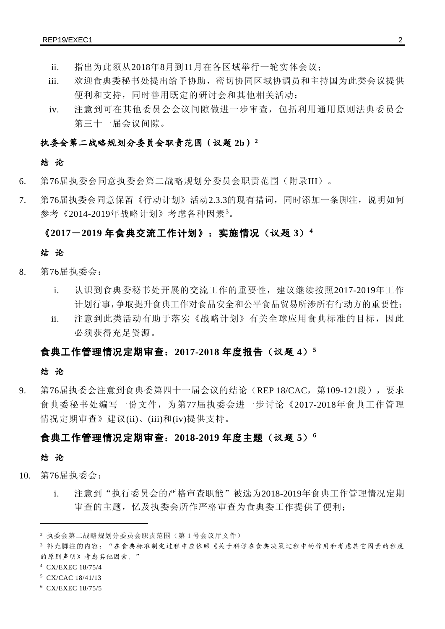- ii. 指出为此须从2018年8月到11月在各区域举行一轮实体会议;
- iii. 欢迎食典委秘书处提出给予协助,密切协同区域协调员和主持国为此类会议提供 便利和支持,同时善用既定的研讨会和其他相关活动;
- iv. 注意到可在其他委员会会议间隙做进一步审查,包括利用通用原则法典委员会 第三十一届会议间隙。

### 执委会第二战略规划分委员会职责范围(议题 **2b**)**[2](#page-3-0)**

### 结 论

- 6. 第76届执委会同意执委会第二战略规划分委员会职责范围(附录III)。
- 7. 第76届执委会同意保留《行动计划》活动2.3.3的现有措词,同时添加一条脚注,说明如何 参考《2014-2019年战略计划》考虑各种因素<sup>[3](#page-3-1)</sup>。

### 《**2017**-**2019** 年食典交流工作计划》:实施情况(议题 **3**)**[4](#page-3-2)**

### 结 论

- 8. 第76届执委会:
	- i. 认识到食典委秘书处开展的交流工作的重要性,建议继续按照2017-2019年工作 计划行事,争取提升食典工作对食品安全和公平食品贸易所涉所有行动方的重要性;
	- ii. 注意到此类活动有助于落实《战略计划》有关全球应用食典标准的目标,因此 必须获得充足资源。

### 食典工作管理情况定期审查:**2017-2018** 年度报告(议题 **4**)**[5](#page-3-3)**

#### 结 论

9. 第76届执委会注意到食典委第四十一届会议的结论(REP 18/CAC, 第109-121段), 要求 食典委秘书处编写一份文件,为第77届执委会进一步讨论《2017-2018年食典工作管理 情况定期审查》建议(ii)、(iii)和(iv)提供支持。

### 食典工作管理情况定期审查:**2018-2019** 年度主题(议题 **5**)**[6](#page-3-4)**

#### 结 论

 $\overline{a}$ 

- 10. 第76届执委会:
	- i. 注意到"执行委员会的严格审查职能"被选为2018-2019年食典工作管理情况定期 审查的主题,忆及执委会所作严格审查为食典委工作提供了便利;

<span id="page-3-3"></span><sup>5</sup> CX/CAC 18/41/13

<span id="page-3-0"></span><sup>2</sup> 执委会第二战略规划分委员会职责范围(第 1 号会议厅文件)

<span id="page-3-1"></span><sup>3</sup> 补充脚注的内容:"在食典标准制定过程中应依照《关于科学在食典决策过程中的作用和考虑其它因素的程度 的原则声明》考虑其他因素。"

<span id="page-3-2"></span><sup>4</sup> CX/EXEC 18/75/4

<span id="page-3-4"></span><sup>6</sup> CX/EXEC 18/75/5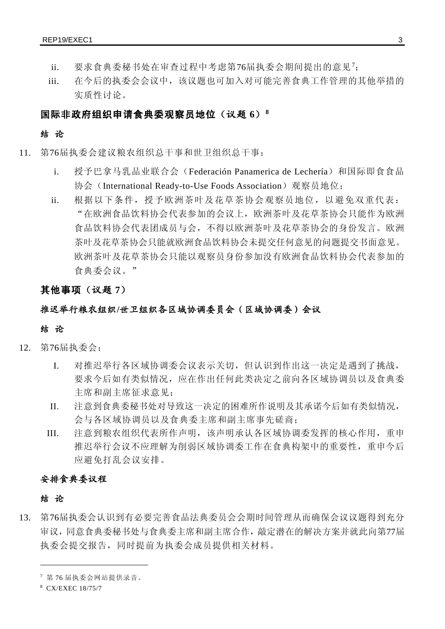- ii. 要求食典委秘书处在审查过程中考虑第[7](#page-4-0)6届执委会期间提出的意见<sup>7</sup>;
- iii. 在今后的执委会会议中,该议题也可加入对可能完善食典工作管理的其他举措的 实质性讨论。

### 国际非政府组织申请食典委观察员地位(议题 **6**)**[8](#page-4-1)**

### 结 论

- 11. 第76届执委会建议粮农组织总干事和世卫组织总干事:
	- i. 授予巴拿马乳品业联合会(Federación Panamerica de Lechería)和国际即食食品 协会 (International Ready-to-Use Foods Association) 观察员地位;
	- ii. 根据以下条件,授予欧洲茶叶及花草茶协会观察员地位,以避免双重代表: "在欧洲食品饮料协会代表参加的会议上,欧洲茶叶及花草茶协会只能作为欧洲 食品饮料协会代表团成员与会,不得以欧洲茶叶及花草茶协会的身份发言。欧洲 茶叶及花草茶协会只能就欧洲食品饮料协会未提交任何意见的问题提交书面意见。 欧洲茶叶及花草茶协会只能以观察员身份参加没有欧洲食品饮料协会代表参加的 食典委会议。"

### 其他事项(议题 **7**)

### 推迟举行粮农组织**/**世卫组织各区域协调委员会(区域协调委)会议

#### 结 论

- 12. 第76届执委会:
	- I. 对推迟举行各区域协调委会议表示关切,但认识到作出这一决定是遇到了挑战, 要求今后如有类似情况,应在作出任何此类决定之前向各区域协调员以及食典委 主席和副主席征求意见;
	- II. 注意到食典委秘书处对导致这一决定的困难所作说明及其承诺今后如有类似情况, 会与各区域协调员以及食典委主席和副主席事先磋商;
	- III. 注意到粮农组织代表所作声明,该声明承认各区域协调委发挥的核心作用,重申 推迟举行会议不应理解为削弱区域协调委工作在食典构架中的重要性,重申今后 应避免打乱会议安排。

### 安排食典委议程

### 结 论

 $\overline{a}$ 

13. 第76届执委会认识到有必要完善食品法典委员会会期时间管理从而确保会议议题得到充分 审议,同意食典委秘书处与食典委主席和副主席合作,敲定潜在的解决方案并就此向第77届 执委会提交报告,同时提前为执委会成员提供相关材料。

<span id="page-4-0"></span><sup>7</sup> 第 76 届执委会网站提供录音。

<span id="page-4-1"></span><sup>8</sup> CX/EXEC 18/75/7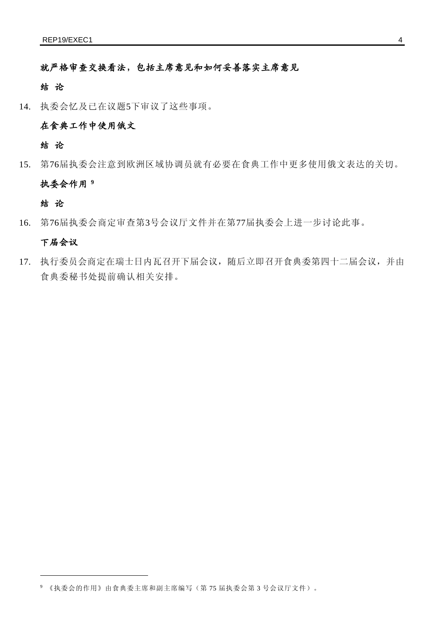就严格审查交换看法,包括主席意见和如何妥善落实主席意见

### 结 论

14. 执委会忆及已在议题5下审议了这些事项。

### 在食典工作中使用俄文

### 结 论

15. 第76届执委会注意到欧洲区域协调员就有必要在食典工作中更多使用俄文表达的关切。

### 执委会作用 **[9](#page-5-0)**

### 结 论

 $\overline{a}$ 

16. 第76届执委会商定审查第3号会议厅文件并在第77届执委会上进一步讨论此事。

### 下届会议

17. 执行委员会商定在瑞士日内瓦召开下届会议,随后立即召开食典委第四十二届会议,并由 食典委秘书处提前确认相关安排。

<span id="page-5-0"></span><sup>9</sup> 《执委会的作用》由食典委主席和副主席编写(第 75 届执委会第 3 号会议厅文件)。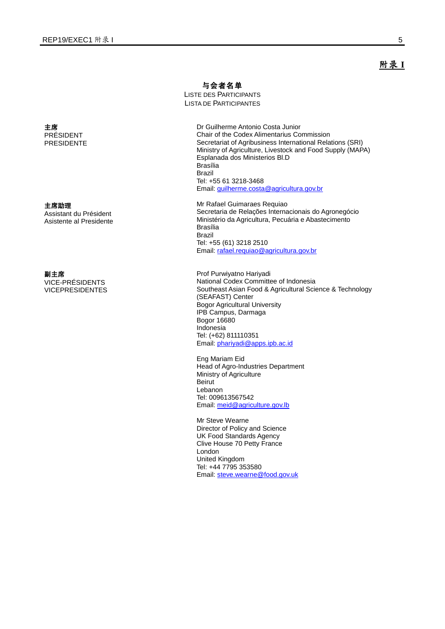主席 PRÉSIDENT PRESIDENTE

主席助理

Assistant du Président Asistente al Presidente

#### 副主席

VICE-PRÉSIDENTS VICEPRESIDENTES 与会者名单

LISTE DES PARTICIPANTS LISTA DE PARTICIPANTES

> Dr Guilherme Antonio Costa Junior Chair of the Codex Alimentarius Commission Secretariat of Agribusiness International Relations (SRI) Ministry of Agriculture, Livestock and Food Supply (MAPA) Esplanada dos Ministerios Bl.D Brasília Brazil Tel: +55 61 3218-3468 Email[: guilherme.costa@agricultura.gov.br](mailto:guilherme.costa@agricultura.gov.br)

Mr Rafael Guimaraes Requiao Secretaria de Relações Internacionais do Agronegócio Ministério da Agricultura, Pecuária e Abastecimento Brasília Brazil Tel: +55 (61) 3218 2510 Email[: rafael.requiao@agricultura.gov.br](mailto:rafael.requiao@agricultura.gov.br)

Prof Purwiyatno Hariyadi National Codex Committee of Indonesia Southeast Asian Food & Agricultural Science & Technology (SEAFAST) Center Bogor Agricultural University IPB Campus, Darmaga Bogor 16680 Indonesia Tel: (+62) 811110351 Email[: phariyadi@apps.ipb.ac.id](mailto:phariyadi@apps.ipb.ac.id)

Eng Mariam Eid Head of Agro-Industries Department Ministry of Agriculture Beirut Lebanon Tel: 009613567542 Email[: meid@agriculture.gov.lb](mailto:meid@agriculture.gov.lb)

Mr Steve Wearne Director of Policy and Science UK Food Standards Agency Clive House 70 Petty France London United Kingdom Tel: +44 7795 353580 Email[: steve.wearne@food.gov.uk](mailto:steve.wearne@food.gov.uk) 附录 **I**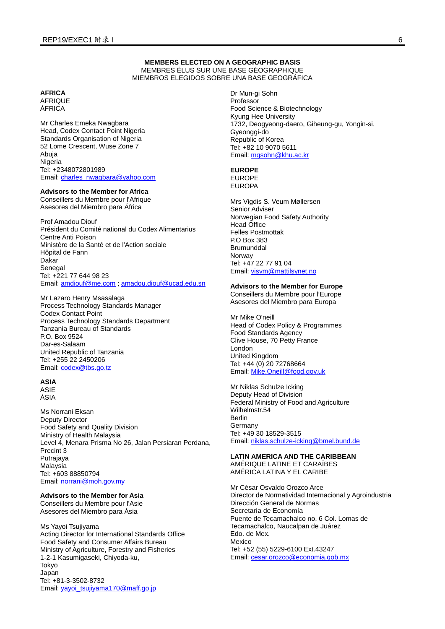#### **MEMBERS ELECTED ON A GEOGRAPHIC BASIS** MEMBRES ÉLUS SUR UNE BASE GÉOGRAPHIQUE MIEMBROS ELEGIDOS SOBRE UNA BASE GEOGRÁFICA

#### **AFRICA**

AFRIQUE ÁFRICA

Mr Charles Emeka Nwagbara Head, Codex Contact Point Nigeria Standards Organisation of Nigeria 52 Lome Crescent, Wuse Zone 7 Abuja **Nigeria** Tel: +2348072801989 Email: [charles\\_nwagbara@yahoo.com](mailto:charles_nwagbara@yahoo.com)

#### **Advisors to the Member for Africa**

Conseillers du Membre pour l'Afrique Asesores del Miembro para África

Prof Amadou Diouf Président du Comité national du Codex Alimentarius Centre Anti Poison Ministère de la Santé et de l'Action sociale Hôpital de Fann Dakar Senegal Tel: +221 77 644 98 23 Email: [amdiouf@me.com](mailto:amdiouf@me.com) ; [amadou.diouf@ucad.edu.sn](mailto:amadou.diouf@ucad.edu.sn)

Mr Lazaro Henry Msasalaga Process Technology Standards Manager Codex Contact Point Process Technology Standards Department Tanzania Bureau of Standards P.O. Box 9524 Dar-es-Salaam United Republic of Tanzania Tel: +255 22 2450206 Email: [codex@tbs.go.tz](mailto:codex@tbs.go.tz)

### **ASIA**

ASIE ÁSIA

Ms Norrani Eksan Deputy Director Food Safety and Quality Division Ministry of Health Malaysia Level 4, Menara Prisma No 26, Jalan Persiaran Perdana, Precint 3 Putrajaya Malaysia Tel: +603 88850794 Email: [norrani@moh.gov.my](mailto:norrani@moh.gov.my)

#### **Advisors to the Member for Asia** Conseillers du Membre pour l'Asie

Asesores del Miembro para Ásia

Ms Yayoi Tsujiyama Acting Director for International Standards Office Food Safety and Consumer Affairs Bureau Ministry of Agriculture, Forestry and Fisheries 1-2-1 Kasumigaseki, Chiyoda-ku, Tokyo Japan Tel: +81-3-3502-8732 Email: [yayoi\\_tsujiyama170@maff.go.jp](mailto:yayoi_tsujiyama170@maff.go.jp)

Dr Mun-gi Sohn Professor Food Science & Biotechnology Kyung Hee University 1732, Deogyeong-daero, Giheung-gu, Yongin-si, Gyeonggi-do Republic of Korea Tel: +82 10 9070 5611 Email: [mgsohn@khu.ac.kr](mailto:mgsohn@khu.ac.kr)

#### **EUROPE** EUROPE

EUROPA

Mrs Vigdis S. Veum Møllersen Senior Adviser Norwegian Food Safety Authority Head Office Felles Postmottak P.O Box 383 **Brumunddal** Norway Tel: +47 22 77 91 04 Email: [visvm@mattilsynet.no](mailto:visvm@mattilsynet.no)

#### **Advisors to the Member for Europe**

Conseillers du Membre pour l'Europe Asesores del Miembro para Europa

Mr Mike O'neill Head of Codex Policy & Programmes Food Standards Agency Clive House, 70 Petty France London United Kingdom Tel: +44 (0) 20 72768664 Email: [Mike.Oneill@food.gov.uk](mailto:Mike.Oneill@food.gov.uk)

Mr Niklas Schulze Icking Deputy Head of Division Federal Ministry of Food and Agriculture Wilhelmstr.54 Berlin Germany Tel: +49 30 18529-3515 Email: [niklas.schulze-icking@bmel.bund.de](mailto:niklas.schulze-icking@bmel.bund.de)

#### **LATIN AMERICA AND THE CARIBBEAN**

AMÉRIQUE LATINE ET CARAÏBES AMÉRICA LATINA Y EL CARIBE

Mr César Osvaldo Orozco Arce Director de Normatividad Internacional y Agroindustria Dirección General de Normas Secretaría de Economía Puente de Tecamachalco no. 6 Col. Lomas de Tecamachalco, Naucalpan de Juárez Edo. de Mex. Mexico Tel: +52 (55) 5229-6100 Ext.43247 Email: [cesar.orozco@economia.gob.mx](mailto:cesar.orozco@economia.gob.mx)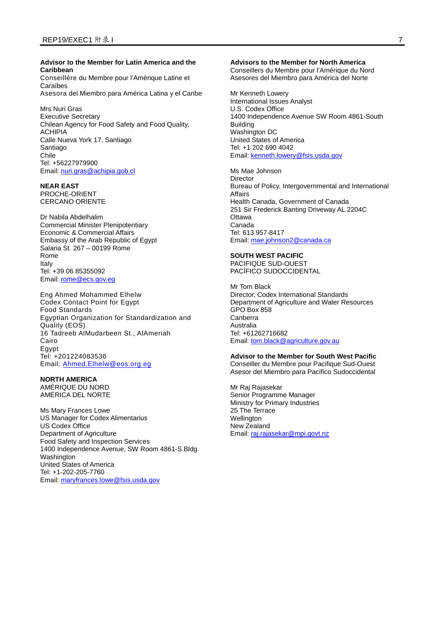#### **Advisor to the Member for Latin America and the Caribbean**

Conseillère du Membre pour l'Amèrique Latine et Caraïbes Asesora del Miembro para América Latina y el Caribe

Mrs Nuri Gras Executive Secretary Chilean Agency for Food Safety and Food Quality, ACHIPIA Calle Nueva York 17, Santiago Santiago Chile Tel: +56227979900 Email: [nuri.gras@achipia.gob.cl](mailto:nuri.gras@achipia.gob.cl)

### **NEAR EAST**

PROCHE-ORIENT CERCANO ORIENTE

Dr Nabila Abdelhalim Commercial Minister Plenipotentiary Economic & Commercial Affairs Embassy of the Arab Republic of Egypt Salaria St. 267 – 00199 Rome Rome Italy Tel: +39 06 85355092 Email: [rome@ecs.gov.eg](mailto:rome@ecs.gov.eg)

Eng Ahmed Mohammed Elhelw Codex Contact Point for Egypt Food Standards Egyptian Organization for Standardization and Quality (EOS) 16 Tadreeb AlMudarbeen St., AlAmeriah Cairo Egypt Tel: +201224083536 Email: [Ahmed.Elhelw@eos.org.eg](mailto:Ahmed.Elhelw@eos.org.eg)

### **NORTH AMERICA**

AMÉRIQUE DU NORD AMÉRICA DEL NORTE

Ms Mary Frances Lowe US Manager for Codex Alimentarius US Codex Office Department of Agriculture Food Safety and Inspection Services 1400 Independence Avenue, SW Room 4861-S Bldg. Washington United States of America Tel: +1-202-205-7760 Email: [maryfrances.lowe@fsis.usda.gov](mailto:maryfrances.lowe@fsis.usda.gov)

#### **Advisors to the Member for North America**

Conseillers du Membre pour l'Amérique du Nord Asesores del Miembro para América del Norte

Mr Kenneth Lowery International Issues Analyst U.S. Codex Office 1400 Independence Avenue SW Room 4861-South Building Washington DC United States of America Tel: +1 202 690 4042 Email: [kenneth.lowery@fsis.usda.gov](mailto:kenneth.lowery@fsis.usda.gov)

Ms Mae Johnson Director Bureau of Policy, Intergovernmental and International Affairs Health Canada, Government of Canada 251 Sir Frederick Banting Driveway AL 2204C **Ottawa** Canada Tel: 613 957-8417 Email: [mae.johnson2@canada.ca](mailto:mae.johnson2@canada.ca)

#### **SOUTH WEST PACIFIC**

PACIFIQUE SUD-OUEST PACÍFICO SUDOCCIDENTAL

Mr Tom Black Director, Codex International Standards Department of Agriculture and Water Resources GPO Box 858 Canberra Australia Tel: +61262716682 Email: [tom.black@agriculture.gov.au](mailto:tom.black@agriculture.gov.au)

#### **Advisor to the Member for South West Pacific**

Conseiller du Membre pour Pacifique Sud-Ouest Asesor del Miembro para Pacífico Sudoccidental

Mr Raj Rajasekar Senior Programme Manager Ministry for Primary Industries 25 The Terrace **Wellington** New Zealand Email: [raj.rajasekar@mpi.govt.nz](mailto:raj.rajasekar@mpi.govt.nz)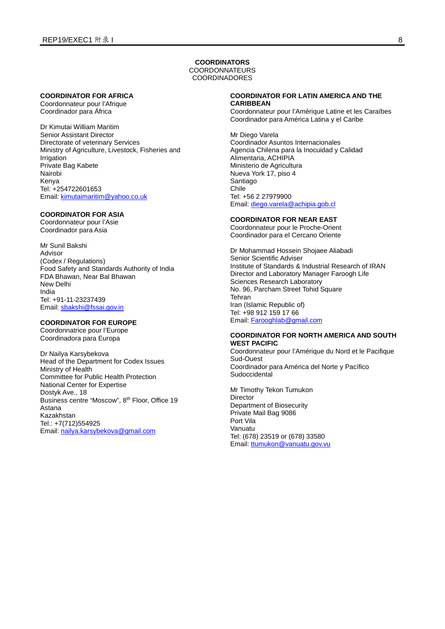#### **COORDINATORS**

COORDONNATEURS COORDINADORES

#### **COORDINATOR FOR AFRICA**

Coordonnateur pour l'Afrique Coordinador para África

Dr Kimutai William Maritim Senior Assistant Director Directorate of veterinary Services Ministry of Agriculture, Livestock, Fisheries and Irrigation Private Bag Kabete Nairobi Kenya Tel: +254722601653 Email: [kimutaimaritim@yahoo.co.uk](mailto:kimutaimaritim@yahoo.co.uk)

#### **COORDINATOR FOR ASIA**

Coordonnateur pour l'Asie Coordinador para Asia

Mr Sunil Bakshi Advisor (Codex / Regulations) Food Safety and Standards Authority of India FDA Bhawan, Near Bal Bhawan New Delhi India Tel: +91-11-23237439 Email: [sbakshi@fssai.gov.in](mailto:sbakshi@fssai.gov.in)

#### **COORDINATOR FOR EUROPE**

Coordonnatrice pour l'Europe Coordinadora para Europa

Dr Nailya Karsybekova Head of the Department for Codex Issues Ministry of Health Committee for Public Health Protection National Center for Expertise Dostyk Ave., 18 Business centre "Moscow", 8<sup>th</sup> Floor, Office 19 Astana Kazakhstan Tel.: +7(712)554925 Email: [nailya.karsybekova@gmail.com](mailto:nailya.karsybekova@gmail.com)

### **COORDINATOR FOR LATIN AMERICA AND THE CARIBBEAN**

Coordonnateur pour l'Amérique Latine et les Caraïbes Coordinador para América Latina y el Caribe

Mr Diego Varela Coordinador Asuntos Internacionales Agencia Chilena para la Inocuidad y Calidad Alimentaria, ACHIPIA Ministerio de Agricultura Nueva York 17, piso 4 Santiago Chile Tel: +56 2 27979900 Email: [diego.varela@achipia.gob.cl](mailto:diego.varela@achipia.gob.cl)

#### **COORDINATOR FOR NEAR EAST**

Coordonnateur pour le Proche-Orient Coordinador para el Cercano Oriente

Dr Mohammad Hossein Shojaee Aliabadi Senior Scientific Adviser Institute of Standards & Industrial Research of IRAN Director and Laboratory Manager Faroogh Life Sciences Research Laboratory No. 96, Parcham Street Tohid Square Tehran Iran (Islamic Republic of) Tel: +98 912 159 17 66 Email: [Farooghlab@gmail.com](mailto:Farooghlab@gmail.com)

#### **COORDINATOR FOR NORTH AMERICA AND SOUTH WEST PACIFIC**

Coordonnateur pour l'Amérique du Nord et le Pacifique Sud-Ouest Coordinador para América del Norte y Pacífico Sudoccidental

Mr Timothy Tekon Tumukon Director Department of Biosecurity Private Mail Bag 9086 Port Vila Vanuatu Tel: (678) 23519 or (678) 33580 Email: [ttumukon@vanuatu.gov.vu](mailto:ttumukon@vanuatu.gov.vu)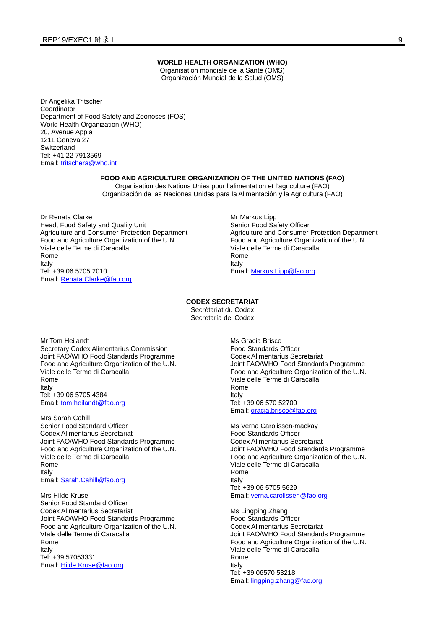#### **WORLD HEALTH ORGANIZATION (WHO)**

Organisation mondiale de la Santé (OMS) Organización Mundial de la Salud (OMS)

Dr Angelika Tritscher Coordinator Department of Food Safety and Zoonoses (FOS) World Health Organization (WHO) 20, Avenue Appia 1211 Geneva 27 **Switzerland** Tel: +41 22 7913569 Email: [tritschera@who.int](mailto:tritschera@who.int)

#### **FOOD AND AGRICULTURE ORGANIZATION OF THE UNITED NATIONS (FAO)**

Organisation des Nations Unies pour l'alimentation et l'agriculture (FAO) Organización de las Naciones Unidas para la Alimentación y la Agricultura (FAO)

Dr Renata Clarke Head, Food Safety and Quality Unit Agriculture and Consumer Protection Department Food and Agriculture Organization of the U.N. Viale delle Terme di Caracalla Rome Italy Tel: +39 06 5705 2010 Email: [Renata.Clarke@fao.org](mailto:Renata.Clarke@fao.org)

Mr Markus Lipp Senior Food Safety Officer Agriculture and Consumer Protection Department Food and Agriculture Organization of the U.N. Viale delle Terme di Caracalla Rome Italy Email: [Markus.Lipp@fao.org](mailto:Markus.Lipp@fao.org)

#### **CODEX SECRETARIAT**

Secrétariat du Codex Secretaría del Codex

Mr Tom Heilandt Secretary Codex Alimentarius Commission Joint FAO/WHO Food Standards Programme Food and Agriculture Organization of the U.N. Viale delle Terme di Caracalla Rome Italy Tel: +39 06 5705 4384 Email: [tom.heilandt@fao.org](mailto:tom.heilandt@fao.org)

Mrs Sarah Cahill Senior Food Standard Officer Codex Alimentarius Secretariat Joint FAO/WHO Food Standards Programme Food and Agriculture Organization of the U.N. Viale delle Terme di Caracalla Rome Italy Email: [Sarah.Cahill@fao.org](mailto:Sarah.Cahill@fao.org)

Mrs Hilde Kruse Senior Food Standard Officer Codex Alimentarius Secretariat Joint FAO/WHO Food Standards Programme Food and Agriculture Organization of the U.N. VIale delle Terme di Caracalla Rome Italy Tel: +39 57053331 Email: [Hilde.Kruse@fao.org](mailto:Hilde.Kruse@fao.org)

Ms Gracia Brisco Food Standards Officer Codex Alimentarius Secretariat Joint FAO/WHO Food Standards Programme Food and Agriculture Organization of the U.N. Viale delle Terme di Caracalla Rome Italy Tel: +39 06 570 52700 Email: [gracia.brisco@fao.org](mailto:gracia.brisco@fao.org)

Ms Verna Carolissen-mackay Food Standards Officer Codex Alimentarius Secretariat Joint FAO/WHO Food Standards Programme Food and Agriculture Organization of the U.N. Viale delle Terme di Caracalla Rome Italy Tel: +39 06 5705 5629 Email: [verna.carolissen@fao.org](mailto:verna.carolissen@fao.org)

Ms Lingping Zhang Food Standards Officer Codex Alimentarius Secretariat Joint FAO/WHO Food Standards Programme Food and Agriculture Organization of the U.N. Viale delle Terme di Caracalla Rome Italy Tel: +39 06570 53218 Email: [lingping.zhang@fao.org](mailto:lingping.zhang@fao.org)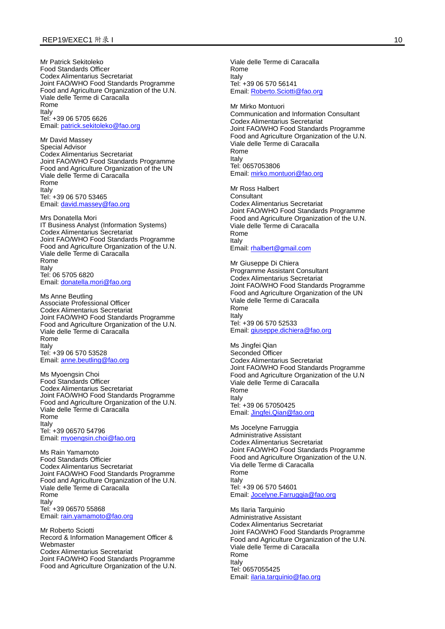Mr Patrick Sekitoleko Food Standards Officer Codex Alimentarius Secretariat Joint FAO/WHO Food Standards Programme Food and Agriculture Organization of the U.N. Viale delle Terme di Caracalla Rome Italy Tel: +39 06 5705 6626 Email: [patrick.sekitoleko@fao.org](mailto:patrick.sekitoleko@fao.org)

Mr David Massey Special Advisor Codex Alimentarius Secretariat Joint FAO/WHO Food Standards Programme Food and Agriculture Organization of the UN Viale delle Terme di Caracalla Rome Italy Tel: +39 06 570 53465 Email: [david.massey@fao.org](mailto:david.massey@fao.org)

Mrs Donatella Mori IT Business Analyst (Information Systems) Codex Alimentarius Secretariat Joint FAO/WHO Food Standards Programme Food and Agriculture Organization of the U.N. Viale delle Terme di Caracalla Rome Italy Tel: 06 5705 6820 Email: [donatella.mori@fao.org](mailto:donatella.mori@fao.org)

Ms Anne Beutling Associate Professional Officer Codex Alimentarius Secretariat Joint FAO/WHO Food Standards Programme Food and Agriculture Organization of the U.N. Viale delle Terme di Caracalla Rome Italy Tel: +39 06 570 53528 Email: [anne.beutling@fao.org](mailto:anne.beutling@fao.org)

Ms Myoengsin Choi Food Standards Officer Codex Alimentarius Secretariat Joint FAO/WHO Food Standards Programme Food and Agriculture Organization of the U.N. Viale delle Terme di Caracalla Rome Italy Tel: +39 06570 54796 Email: [myoengsin.choi@fao.org](mailto:myoengsin.choi@fao.org)

Ms Rain Yamamoto Food Standards Officier Codex Alimentarius Secretariat Joint FAO/WHO Food Standards Programme Food and Agriculture Organization of the U.N. Viale delle Terme di Caracalla Rome Italy Tel: +39 06570 55868 Email: [rain.yamamoto@fao.org](mailto:rain.yamamoto@fao.org)

Mr Roberto Sciotti Record & Information Management Officer & Webmaster Codex Alimentarius Secretariat Joint FAO/WHO Food Standards Programme Food and Agriculture Organization of the U.N. Viale delle Terme di Caracalla Rome Italy Tel: +39 06 570 56141 Email: [Roberto.Sciotti@fao.org](mailto:Roberto.Sciotti@fao.org)

Mr Mirko Montuori Communication and Information Consultant Codex Alimentarius Secretariat Joint FAO/WHO Food Standards Programme Food and Agriculture Organization of the U.N. Viale delle Terme di Caracalla Rome Italy Tel: 0657053806 Email: [mirko.montuori@fao.org](mailto:mirko.montuori@fao.org)

Mr Ross Halbert Consultant Codex Alimentarius Secretariat Joint FAO/WHO Food Standards Programme Food and Agriculture Organization of the U.N. Viale delle Terme di Caracalla Rome Italy Email[: rhalbert@gmail.com](mailto:rhalbert@gmail.com)

Mr Giuseppe Di Chiera Programme Assistant Consultant Codex Alimentarius Secretariat Joint FAO/WHO Food Standards Programme Food and Agriculture Organization of the UN Viale delle Terme di Caracalla Rome Italy Tel: +39 06 570 52533 Email: [giuseppe.dichiera@fao.org](mailto:giuseppe.dichiera@fao.org)

Ms Jingfei Qian Seconded Officer Codex Alimentarius Secretariat Joint FAO/WHO Food Standards Programme Food and Agriculture Organization of the U.N Viale delle Terme di Caracalla Rome Italy Tel: +39 06 57050425 Email: [Jingfei.Qian@fao.org](mailto:Jingfei.Qian@fao.org)

Ms Jocelyne Farruggia Administrative Assistant Codex Alimentarius Secretariat Joint FAO/WHO Food Standards Programme Food and Agriculture Organization of the U.N. Via delle Terme di Caracalla Rome Italy Tel: +39 06 570 54601 Email: [Jocelyne.Farruggia@fao.org](mailto:Jocelyne.Farruggia@fao.org)

Ms Ilaria Tarquinio Administrative Assistant Codex Alimentarius Secretariat Joint FAO/WHO Food Standards Programme Food and Agriculture Organization of the U.N. Viale delle Terme di Caracalla Rome Italy Tel: 0657055425 Email: [ilaria.tarquinio@fao.org](mailto:ilaria.tarquinio@fao.org)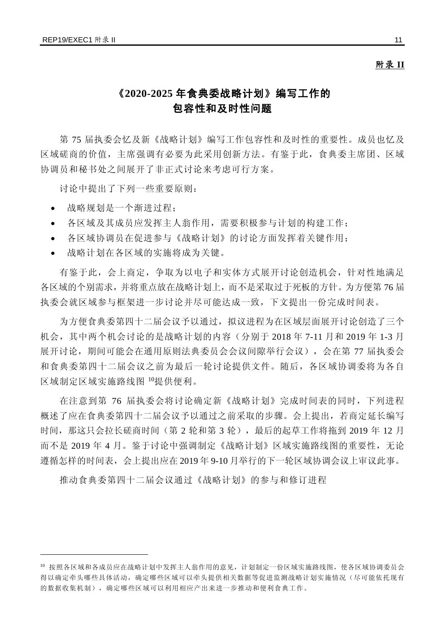$\overline{a}$ 

### 附录 **II**

## 《**2020-2025** 年食典委战略计划》编写工作的 包容性和及时性问题

第 75 届执委会忆及新《战略计划》编写工作包容性和及时性的重要性。成员也忆及 区域磋商的价值,主席强调有必要为此采用创新方法。有鉴于此,食典委主席团、区域 协调员和秘书处之间展开了非正式讨论来考虑可行方案。

讨论中提出了下列一些重要原则:

- 战略规划是一个渐进过程;
- 各区域及其成员应发挥主人翁作用,需要积极参与计划的构建工作;
- 各区域协调员在促进参与《战略计划》的讨论方面发挥着关键作用;
- 战略计划在各区域的实施将成为关键。

有鉴于此,会上商定,争取为以电子和实体方式展开讨论创造机会,针对性地满足 各区域的个别需求,并将重点放在战略计划上,而不是采取过于死板的方针。为方便第 76 届 执委会就区域参与框架进一步讨论并尽可能达成一致,下文提出一份完成时间表。

为方便食典委第四十二届会议予以通过, 拟议进程为在区域层面展开讨论创造了三个 机会,其中两个机会讨论的是战略计划的内容(分别于 2018 年 7-11 月和 2019 年 1-3 月 展开讨论,期间可能会在通用原则法典委员会会议间隙举行会议),会在第 77 届执委会 和食典委第四十二届会议之前为最后一轮讨论提供文件。随后,各区域协调委将为各自 区域制定区域实施路线图 [10](#page-12-0)提供便利。

在注意到第 76 届执委会将讨论确定新《战略计划》完成时间表的同时,下列进程 概述了应在食典委第四十二届会议予以通过之前采取的步骤。会上提出,若商定延长编写 时间,那这只会拉长磋商时间(第 2 轮和第 3 轮),最后的起草工作将拖到 2019 年 12 月 而不是 2019 年 4 月。鉴于讨论中强调制定《战略计划》区域实施路线图的重要性,无论 遵循怎样的时间表,会上提出应在 2019 年 9-10 月举行的下一轮区域协调会议上审议此事。

推动食典委第四十二届会议通过《战略计划》的参与和修订进程

<span id="page-12-0"></span><sup>10</sup> 按照各区域和各成员应在战略计划中发挥主人翁作用的意见,计划制定一份区域实施路线图,使各区域协调委员会 得以确定牵头哪些具体活动,确定哪些区域可以牵头提供相关数据等促进监测战略计划实施情况(尽可能依托现有 的数据收集机制),确定哪些区域可以利用相应产出来进一步推动和便利食典工作。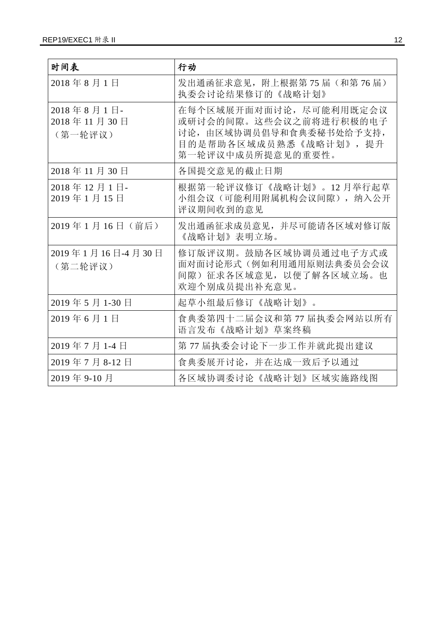| 时间表                                  | 行动                                                                                                                          |
|--------------------------------------|-----------------------------------------------------------------------------------------------------------------------------|
| 2018年8月1日                            | 发出通函征求意见, 附上根据第75届(和第76届)<br>执委会讨论结果修订的《战略计划》                                                                               |
| 2018年8月1日-<br>2018年11月30日<br>(第一轮评议) | 在每个区域展开面对面讨论, 尽可能利用既定会议<br>或研讨会的间隙。这些会议之前将进行积极的电子<br>讨论,由区域协调员倡导和食典委秘书处给予支持,<br>目的是帮助各区域成员熟悉《战略计划》, 提升<br>第一轮评议中成员所提意见的重要性。 |
| 2018年11月30日                          | 各国提交意见的截止日期                                                                                                                 |
| 2018年12月1日-<br>2019年1月15日            | 根据第一轮评议修订《战略计划》。12月举行起草<br>小组会议(可能利用附属机构会议间隙), 纳入公开<br>评议期间收到的意见                                                            |
| 2019年1月16日 (前后)                      | 发出通函征求成员意见, 并尽可能请各区域对修订版<br>《战略计划》表明立场。                                                                                     |
| 2019年1月16日-4月30日<br>(第二轮评议)          | 修订版评议期。鼓励各区域协调员通过电子方式或<br>面对面讨论形式(例如利用通用原则法典委员会会议<br>间隙) 征求各区域意见, 以便了解各区域立场。也<br>欢迎个别成员提出补充意见。                              |
| 2019年5月1-30日                         | 起草小组最后修订《战略计划》。                                                                                                             |
| 2019年6月1日                            | 食典委第四十二届会议和第77届执委会网站以所有<br>语言发布《战略计划》草案终稿                                                                                   |
| 2019年7月1-4日                          | 第77 届执委会讨论下一步工作并就此提出建议                                                                                                      |
| 2019年7月8-12日                         | 食典委展开讨论, 并在达成一致后予以通过                                                                                                        |
| 2019年9-10月                           | 各区域协调委讨论《战略计划》区域实施路线图                                                                                                       |